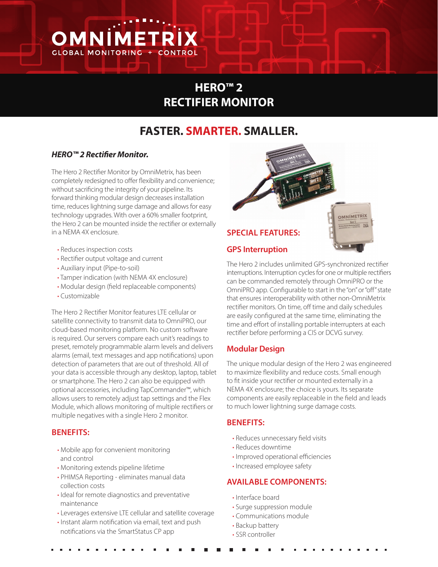

# **HERO™ 2 RECTIFIER MONITOR**

# **FASTER. SMARTER. SMALLER.**

#### *HERO™ 2 Rectifier Monitor.*

The Hero 2 Rectifier Monitor by OmniMetrix, has been completely redesigned to offer flexibility and convenience; without sacrificing the integrity of your pipeline. Its forward thinking modular design decreases installation time, reduces lightning surge damage and allows for easy technology upgrades. With over a 60% smaller footprint, the Hero 2 can be mounted inside the rectifier or externally in a NEMA 4X enclosure.

- Reduces inspection costs
- Rectifier output voltage and current
- Auxiliary input (Pipe-to-soil)
- Tamper indication (with NEMA 4X enclosure)
- Modular design (field replaceable components)
- Customizable

The Hero 2 Rectifier Monitor features LTE cellular or satellite connectivity to transmit data to OmniPRO, our cloud-based monitoring platform. No custom software is required. Our servers compare each unit's readings to preset, remotely programmable alarm levels and delivers alarms (email, text messages and app notifications) upon detection of parameters that are out of threshold. All of your data is accessible through any desktop, laptop, tablet or smartphone. The Hero 2 can also be equipped with optional accessories, including TapCommander™, which allows users to remotely adjust tap settings and the Flex Module, which allows monitoring of multiple rectifiers or multiple negatives with a single Hero 2 monitor.

#### **BENEFITS:**

- Mobile app for convenient monitoring and control
- Monitoring extends pipeline lifetime
- PHIMSA Reporting eliminates manual data collection costs
- Ideal for remote diagnostics and preventative maintenance
- Leverages extensive LTE cellular and satellite coverage
- Instant alarm notification via email, text and push notifications via the SmartStatus CP app



The Hero 2 includes unlimited GPS-synchronized rectifier interruptions. Interruption cycles for one or multiple rectifiers can be commanded remotely through OmniPRO or the OmniPRO app. Configurable to start in the "on" or "off" state that ensures interoperability with other non-OmniMetrix rectifier monitors. On time, off time and daily schedules are easily configured at the same time, eliminating the time and effort of installing portable interrupters at each rectifier before performing a CIS or DCVG survey.

## **Modular Design**

The unique modular design of the Hero 2 was engineered to maximize flexibility and reduce costs. Small enough to fit inside your rectifier or mounted externally in a NEMA 4X enclosure; the choice is yours. Its separate components are easily replaceable in the field and leads to much lower lightning surge damage costs.

#### **BENEFITS:**

- Reduces unnecessary field visits
- Reduces downtime
- Improved operational efficiencies
- Increased employee safety

#### **AVAILABLE COMPONENTS:**

- Interface board
- Surge suppression module
- Communications module
- Backup battery
- SSR controller